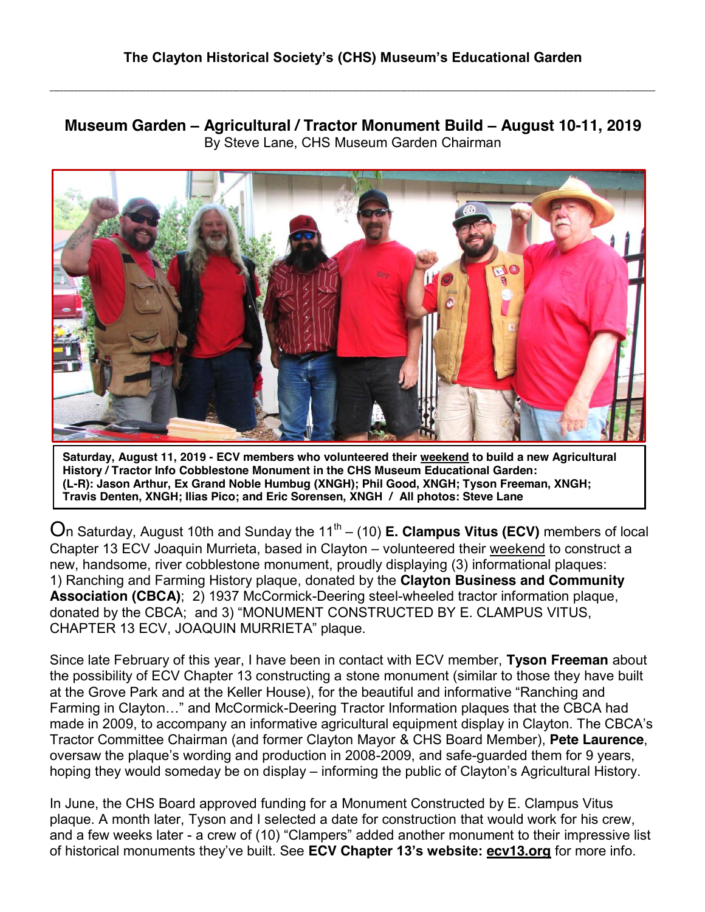**\_\_\_\_\_\_\_\_\_\_\_\_\_\_\_\_\_\_\_\_\_\_\_\_\_\_\_\_\_\_\_\_\_\_\_\_\_\_\_\_\_\_\_\_\_\_\_\_\_\_\_\_\_\_\_\_\_\_\_\_\_\_\_\_\_\_\_\_\_\_\_\_\_\_\_\_\_\_\_\_\_\_\_\_\_\_\_\_\_\_\_\_\_\_\_\_\_\_\_\_\_\_\_\_\_\_\_\_\_\_\_\_\_\_\_\_\_\_\_\_\_\_\_\_\_\_\_\_\_\_\_\_\_\_\_\_\_\_\_\_\_\_\_\_\_\_\_\_\_\_\_\_\_\_\_\_\_\_\_\_\_\_\_\_\_\_\_\_\_\_\_\_\_\_\_\_**

**Museum Garden – Agricultural / Tractor Monument Build – August 10-11, 2019** By Steve Lane, CHS Museum Garden Chairman



**Saturday, August 11, 2019 - ECV members who volunteered their weekend to build a new Agricultural History / Tractor Info Cobblestone Monument in the CHS Museum Educational Garden: (L-R): Jason Arthur, Ex Grand Noble Humbug (XNGH); Phil Good, XNGH; Tyson Freeman, XNGH; Travis Denten, XNGH; Ilias Pico; and Eric Sorensen, XNGH / All photos: Steve Lane**

On Saturday, August 10th and Sunday the  $11<sup>th</sup> - (10)$  **E. Clampus Vitus (ECV)** members of local Chapter 13 ECV Joaquin Murrieta, based in Clayton – volunteered their weekend to construct a new, handsome, river cobblestone monument, proudly displaying (3) informational plaques: 1) Ranching and Farming History plaque, donated by the **Clayton Business and Community Association (CBCA)**; 2) 1937 McCormick-Deering steel-wheeled tractor information plaque, donated by the CBCA; and 3) "MONUMENT CONSTRUCTED BY E. CLAMPUS VITUS, CHAPTER 13 ECV, JOAQUIN MURRIETA" plaque.

Since late February of this year, I have been in contact with ECV member, **Tyson Freeman** about the possibility of ECV Chapter 13 constructing a stone monument (similar to those they have built at the Grove Park and at the Keller House), for the beautiful and informative "Ranching and Farming in Clayton…" and McCormick-Deering Tractor Information plaques that the CBCA had made in 2009, to accompany an informative agricultural equipment display in Clayton. The CBCA's Tractor Committee Chairman (and former Clayton Mayor & CHS Board Member), **Pete Laurence**, oversaw the plaque's wording and production in 2008-2009, and safe-guarded them for 9 years, hoping they would someday be on display – informing the public of Clayton's Agricultural History.

In June, the CHS Board approved funding for a Monument Constructed by E. Clampus Vitus plaque. A month later, Tyson and I selected a date for construction that would work for his crew, and a few weeks later - a crew of (10) "Clampers" added another monument to their impressive list of historical monuments they've built. See **ECV Chapter 13's website: ecv13.org** for more info.